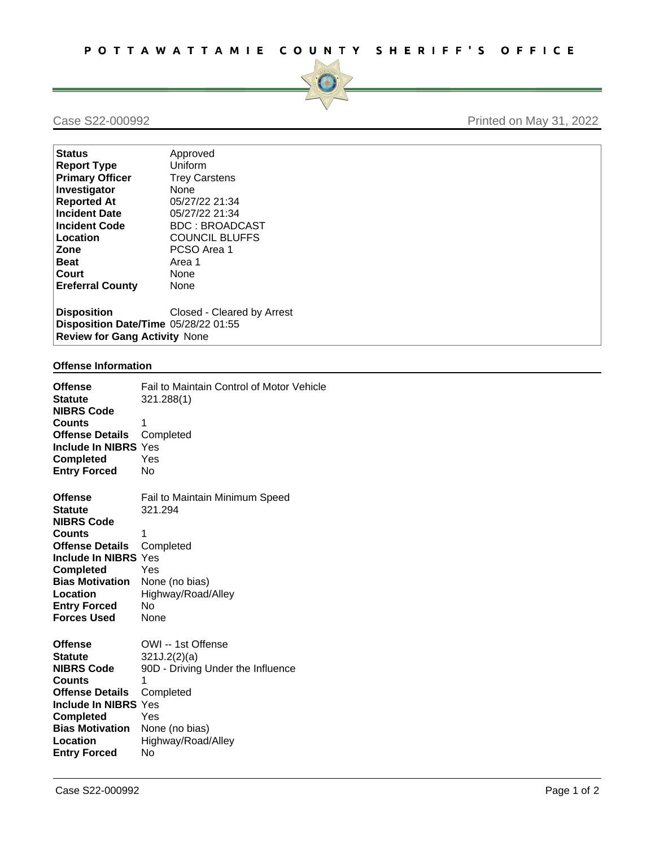

# Case S22-000992 Printed on May 31, 2022

| <b>Status</b>                                                                               | Approved                   |
|---------------------------------------------------------------------------------------------|----------------------------|
| <b>Report Type</b>                                                                          | <b>Uniform</b>             |
| <b>Primary Officer</b>                                                                      | <b>Trey Carstens</b>       |
| Investigator                                                                                | None                       |
| <b>Reported At</b>                                                                          | 05/27/22 21:34             |
| <b>Incident Date</b>                                                                        | 05/27/22 21:34             |
| Incident Code                                                                               | <b>BDC: BROADCAST</b>      |
| Location                                                                                    | <b>COUNCIL BLUFFS</b>      |
| <b>Zone</b>                                                                                 | PCSO Area 1                |
| <b>Beat</b>                                                                                 | Area 1                     |
| <b>Court</b>                                                                                | None                       |
| <b>Ereferral County</b>                                                                     | None                       |
| Disposition<br>Disposition Date/Time 05/28/22 01:55<br><b>Review for Gang Activity None</b> | Closed - Cleared by Arrest |

## **Offense Information**

| <b>Offense</b><br><b>Statute</b><br><b>NIBRS Code</b><br><b>Counts</b><br><b>Offense Details</b><br><b>Include In NIBRS Yes</b><br><b>Completed</b><br><b>Entry Forced</b>                                | Fail to Maintain Control of Motor Vehicle<br>321.288(1)<br>1<br>Completed<br>Yes<br>No                                                                |
|-----------------------------------------------------------------------------------------------------------------------------------------------------------------------------------------------------------|-------------------------------------------------------------------------------------------------------------------------------------------------------|
| <b>Offense</b>                                                                                                                                                                                            | Fail to Maintain Minimum Speed                                                                                                                        |
| <b>Statute</b>                                                                                                                                                                                            | 321.294                                                                                                                                               |
| <b>NIBRS Code</b><br><b>Counts</b>                                                                                                                                                                        | 1                                                                                                                                                     |
| <b>Offense Details</b>                                                                                                                                                                                    | Completed                                                                                                                                             |
| Include In NIBRS Yes                                                                                                                                                                                      |                                                                                                                                                       |
| <b>Completed</b><br><b>Bias Motivation</b>                                                                                                                                                                | Yes<br>None (no bias)                                                                                                                                 |
| Location                                                                                                                                                                                                  | Highway/Road/Alley                                                                                                                                    |
| <b>Entry Forced</b>                                                                                                                                                                                       | N <sub>o</sub>                                                                                                                                        |
| <b>Forces Used</b>                                                                                                                                                                                        | None                                                                                                                                                  |
| <b>Offense</b><br><b>Statute</b><br><b>NIBRS Code</b><br><b>Counts</b><br><b>Offense Details</b><br>Include In NIBRS Yes<br><b>Completed</b><br><b>Bias Motivation</b><br>Location<br><b>Entry Forced</b> | OWI -- 1st Offense<br>321J.2(2)(a)<br>90D - Driving Under the Influence<br>1<br>Completed<br>Yes<br>None (no bias)<br>Highway/Road/Alley<br><b>No</b> |